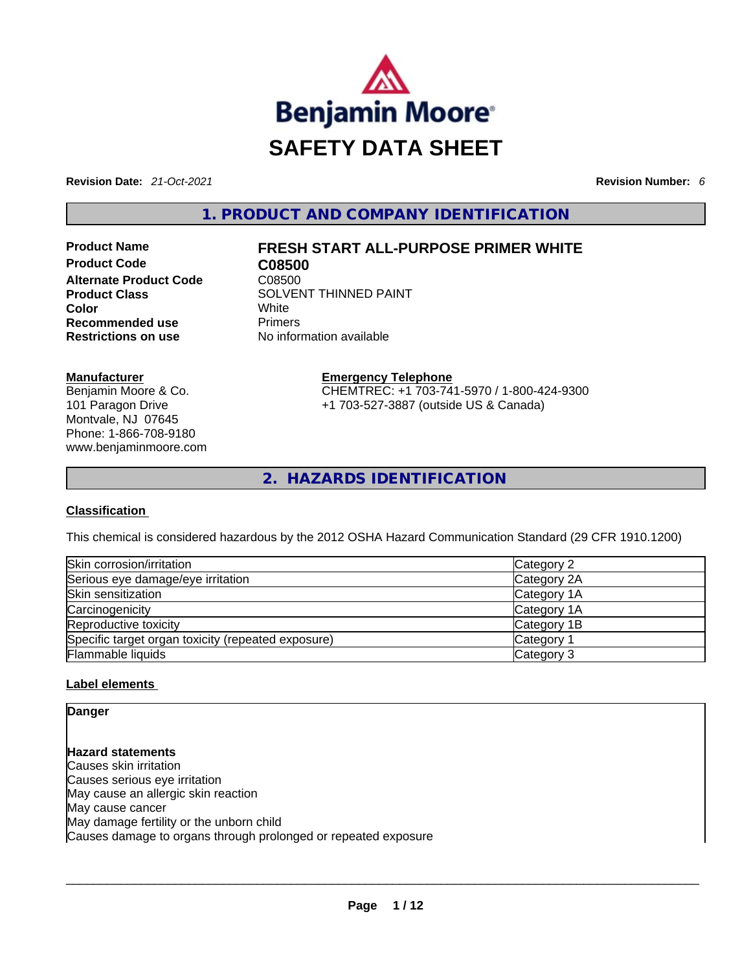

**Revision Date:** *21-Oct-2021* **Revision Number:** *6*

**1. PRODUCT AND COMPANY IDENTIFICATION** 

**Product Code CO8500**<br> **Alternate Product Code** C08500 **Alternate Product Code Color** White **Recommended use Primers Restrictions on use** No information available

#### **Manufacturer**

Benjamin Moore & Co. 101 Paragon Drive Montvale, NJ 07645 Phone: 1-866-708-9180 www.benjaminmoore.com

# **Product Name FRESH START ALL-PURPOSE PRIMER WHITE**

**Product Class SOLVENT THINNED PAINT** 

**Emergency Telephone** CHEMTREC: +1 703-741-5970 / 1-800-424-9300 +1 703-527-3887 (outside US & Canada)

**2. HAZARDS IDENTIFICATION** 

#### **Classification**

This chemical is considered hazardous by the 2012 OSHA Hazard Communication Standard (29 CFR 1910.1200)

| Skin corrosion/irritation                          | Category 2            |
|----------------------------------------------------|-----------------------|
| Serious eye damage/eye irritation                  | Category 2A           |
| Skin sensitization                                 | Category 1A           |
| Carcinogenicity                                    | Category 1A           |
| Reproductive toxicity                              | Category 1B           |
| Specific target organ toxicity (repeated exposure) | Category <sup>2</sup> |
| Flammable liquids                                  | Category 3            |

#### **Label elements**

## **Danger**

**Hazard statements** Causes skin irritation Causes serious eye irritation May cause an allergic skin reaction May cause cancer May damage fertility or the unborn child Causes damage to organs through prolonged or repeated exposure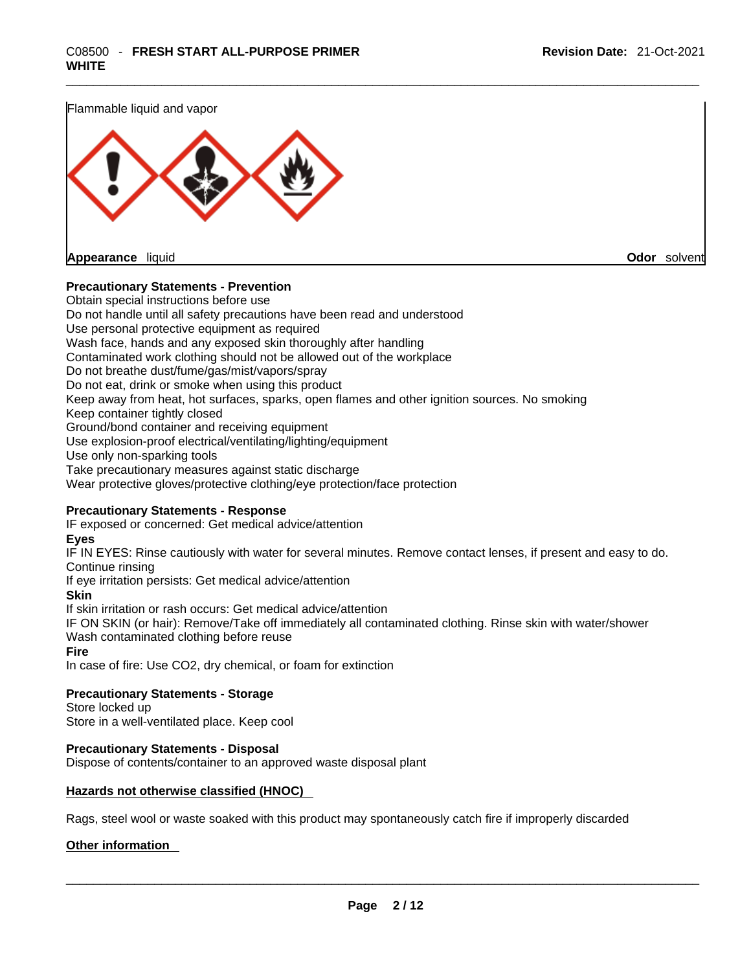Flammable liquid and vapor



#### **Precautionary Statements - Prevention**

Obtain special instructions before use Do not handle until all safety precautions have been read and understood Use personal protective equipment as required Wash face, hands and any exposed skin thoroughly after handling Contaminated work clothing should not be allowed out of the workplace Do not breathe dust/fume/gas/mist/vapors/spray Do not eat, drink or smoke when using this product Keep away from heat, hot surfaces, sparks, open flames and other ignition sources. No smoking Keep container tightly closed Ground/bond container and receiving equipment Use explosion-proof electrical/ventilating/lighting/equipment Use only non-sparking tools Take precautionary measures against static discharge Wear protective gloves/protective clothing/eye protection/face protection **Precautionary Statements - Response**

IF exposed or concerned: Get medical advice/attention

#### **Eyes**

IF IN EYES: Rinse cautiously with water forseveral minutes. Remove contact lenses, if present and easy to do. Continue rinsing

If eye irritation persists: Get medical advice/attention

#### **Skin**

If skin irritation or rash occurs: Get medical advice/attention

IF ON SKIN (or hair): Remove/Take off immediately all contaminated clothing. Rinse skin with water/shower Wash contaminated clothing before reuse

#### **Fire**

In case of fire: Use CO2, dry chemical, or foam for extinction

#### **Precautionary Statements - Storage**

Store locked up Store in a well-ventilated place. Keep cool

#### **Precautionary Statements - Disposal**

Dispose of contents/container to an approved waste disposal plant

#### **Hazards not otherwise classified (HNOC)**

Rags, steel wool or waste soaked with this product may spontaneously catch fire if improperly discarded

#### **Other information**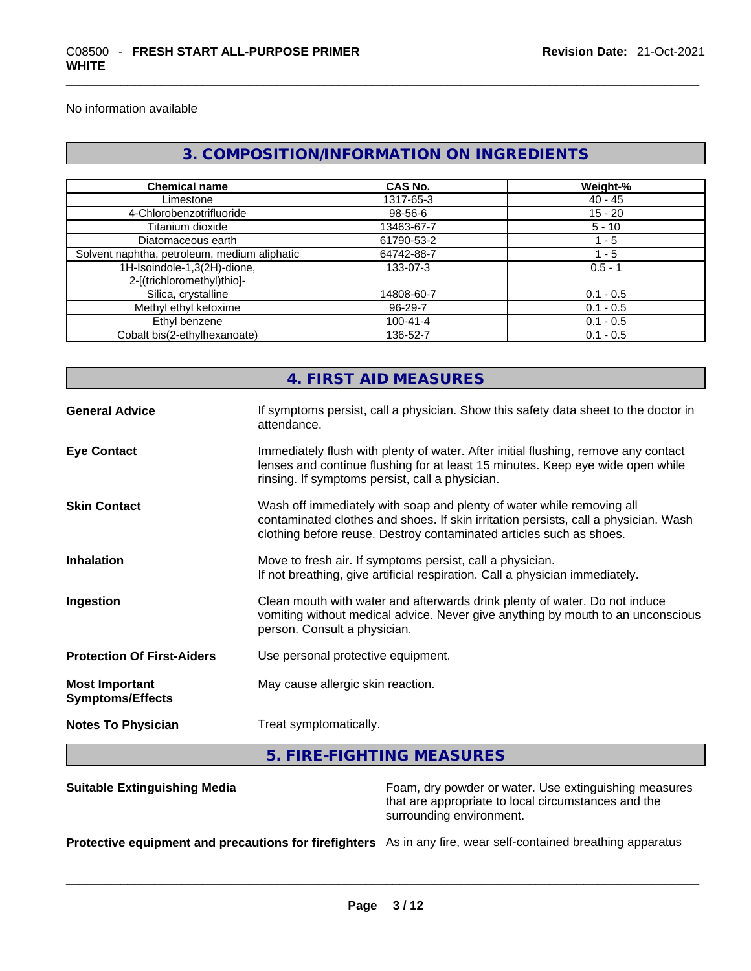No information available

# **3. COMPOSITION/INFORMATION ON INGREDIENTS**

| <b>Chemical name</b>                                      | <b>CAS No.</b> | Weight-%    |
|-----------------------------------------------------------|----------------|-------------|
| Limestone                                                 | 1317-65-3      | $40 - 45$   |
| 4-Chlorobenzotrifluoride                                  | 98-56-6        | $15 - 20$   |
| Titanium dioxide                                          | 13463-67-7     | $5 - 10$    |
| Diatomaceous earth                                        | 61790-53-2     | $1 - 5$     |
| Solvent naphtha, petroleum, medium aliphatic              | 64742-88-7     | $1 - 5$     |
| 1H-Isoindole-1,3(2H)-dione,<br>2-[(trichloromethyl)thio]- | 133-07-3       | $0.5 - 1$   |
| Silica, crystalline                                       | 14808-60-7     | $0.1 - 0.5$ |
| Methyl ethyl ketoxime                                     | 96-29-7        | $0.1 - 0.5$ |
| Ethyl benzene                                             | $100 - 41 - 4$ | $0.1 - 0.5$ |
| Cobalt bis(2-ethylhexanoate)                              | 136-52-7       | $0.1 - 0.5$ |

|                                                  | 4. FIRST AID MEASURES                                                                                                                                                                                                               |
|--------------------------------------------------|-------------------------------------------------------------------------------------------------------------------------------------------------------------------------------------------------------------------------------------|
| <b>General Advice</b>                            | If symptoms persist, call a physician. Show this safety data sheet to the doctor in<br>attendance.                                                                                                                                  |
| <b>Eye Contact</b>                               | Immediately flush with plenty of water. After initial flushing, remove any contact<br>lenses and continue flushing for at least 15 minutes. Keep eye wide open while<br>rinsing. If symptoms persist, call a physician.             |
| <b>Skin Contact</b>                              | Wash off immediately with soap and plenty of water while removing all<br>contaminated clothes and shoes. If skin irritation persists, call a physician. Wash<br>clothing before reuse. Destroy contaminated articles such as shoes. |
| <b>Inhalation</b>                                | Move to fresh air. If symptoms persist, call a physician.<br>If not breathing, give artificial respiration. Call a physician immediately.                                                                                           |
| Ingestion                                        | Clean mouth with water and afterwards drink plenty of water. Do not induce<br>vomiting without medical advice. Never give anything by mouth to an unconscious<br>person. Consult a physician.                                       |
| <b>Protection Of First-Aiders</b>                | Use personal protective equipment.                                                                                                                                                                                                  |
| <b>Most Important</b><br><b>Symptoms/Effects</b> | May cause allergic skin reaction.                                                                                                                                                                                                   |
| <b>Notes To Physician</b>                        | Treat symptomatically.                                                                                                                                                                                                              |
|                                                  |                                                                                                                                                                                                                                     |

# **5. FIRE-FIGHTING MEASURES**

| <b>Suitable Extinguishing Media</b>                                                                           | Foam, dry powder or water. Use extinguishing measures<br>that are appropriate to local circumstances and the<br>surrounding environment. |
|---------------------------------------------------------------------------------------------------------------|------------------------------------------------------------------------------------------------------------------------------------------|
| Protective equipment and precautions for firefighters As in any fire, wear self-contained breathing apparatus |                                                                                                                                          |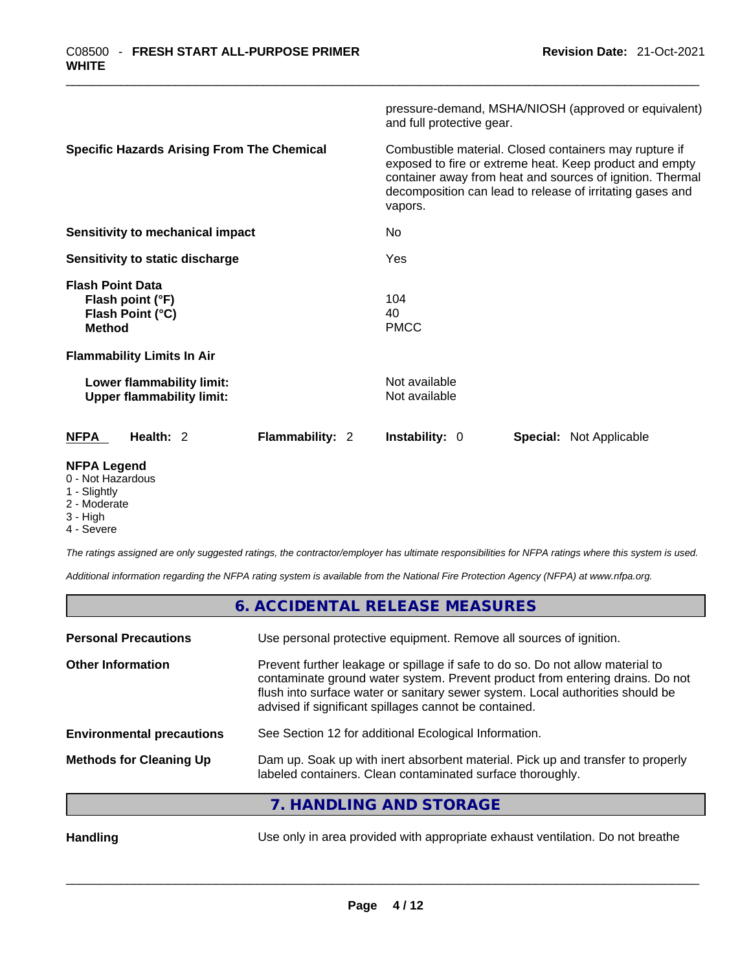|                                                                                  | pressure-demand, MSHA/NIOSH (approved or equivalent)<br>and full protective gear.                                                                                                                                                                      |
|----------------------------------------------------------------------------------|--------------------------------------------------------------------------------------------------------------------------------------------------------------------------------------------------------------------------------------------------------|
| <b>Specific Hazards Arising From The Chemical</b>                                | Combustible material. Closed containers may rupture if<br>exposed to fire or extreme heat. Keep product and empty<br>container away from heat and sources of ignition. Thermal<br>decomposition can lead to release of irritating gases and<br>vapors. |
| Sensitivity to mechanical impact                                                 | No                                                                                                                                                                                                                                                     |
| Sensitivity to static discharge                                                  | Yes                                                                                                                                                                                                                                                    |
| <b>Flash Point Data</b><br>Flash point (°F)<br>Flash Point (°C)<br><b>Method</b> | 104<br>40<br><b>PMCC</b>                                                                                                                                                                                                                               |
| <b>Flammability Limits In Air</b>                                                |                                                                                                                                                                                                                                                        |
| Lower flammability limit:<br><b>Upper flammability limit:</b>                    | Not available<br>Not available                                                                                                                                                                                                                         |
| Flammability: 2<br><b>NFPA</b><br>Health: 2                                      | <b>Instability: 0</b><br><b>Special:</b> Not Applicable                                                                                                                                                                                                |
|                                                                                  |                                                                                                                                                                                                                                                        |

#### **NFPA Legend**

- 0 Not Hazardous
- 1 Slightly
- 2 Moderate
- 3 High
- 4 Severe

*The ratings assigned are only suggested ratings, the contractor/employer has ultimate responsibilities for NFPA ratings where this system is used.* 

*Additional information regarding the NFPA rating system is available from the National Fire Protection Agency (NFPA) at www.nfpa.org.* 

|                                  | 6. ACCIDENTAL RELEASE MEASURES                                                                                                                                                                                                                                                                             |
|----------------------------------|------------------------------------------------------------------------------------------------------------------------------------------------------------------------------------------------------------------------------------------------------------------------------------------------------------|
| <b>Personal Precautions</b>      | Use personal protective equipment. Remove all sources of ignition.                                                                                                                                                                                                                                         |
| <b>Other Information</b>         | Prevent further leakage or spillage if safe to do so. Do not allow material to<br>contaminate ground water system. Prevent product from entering drains. Do not<br>flush into surface water or sanitary sewer system. Local authorities should be<br>advised if significant spillages cannot be contained. |
| <b>Environmental precautions</b> | See Section 12 for additional Ecological Information.                                                                                                                                                                                                                                                      |
| <b>Methods for Cleaning Up</b>   | Dam up. Soak up with inert absorbent material. Pick up and transfer to properly<br>labeled containers. Clean contaminated surface thoroughly.                                                                                                                                                              |
|                                  | HANDI ING AND STORAGE                                                                                                                                                                                                                                                                                      |

# **7. HANDLING AND STORAGE**

**Handling** Use only in area provided with appropriate exhaust ventilation. Do not breathe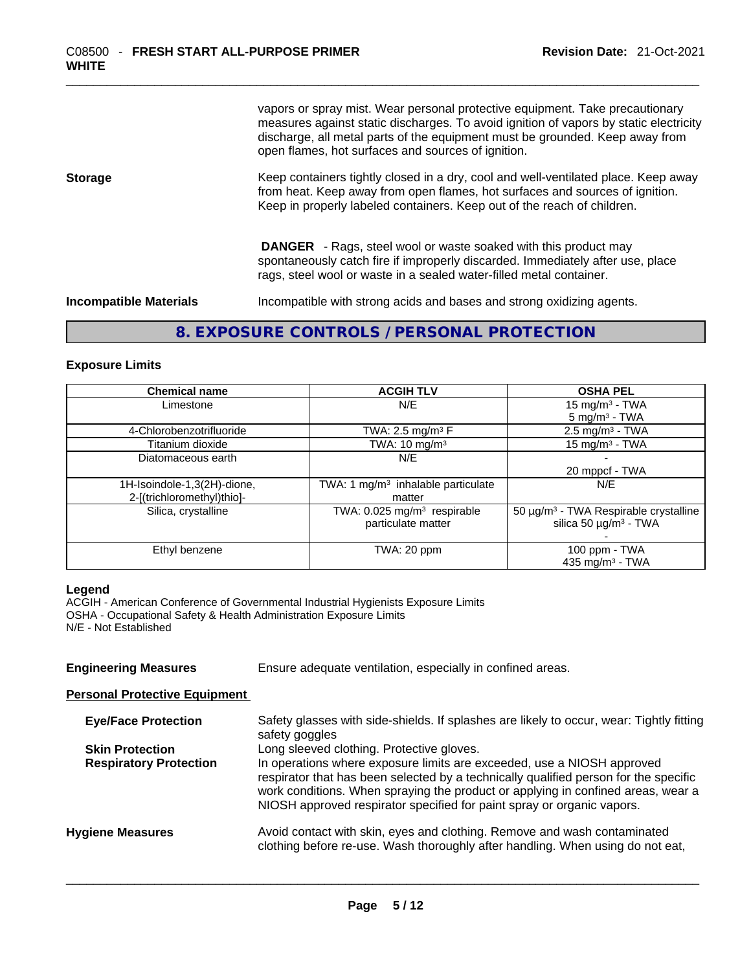vapors or spray mist. Wear personal protective equipment. Take precautionary measures against static discharges. To avoid ignition of vapors by static electricity discharge, all metal parts of the equipment must be grounded. Keep away from open flames, hot surfaces and sources of ignition.

**Storage Keep containers tightly closed in a dry, cool and well-ventilated place. Keep away** from heat. Keep away from open flames, hot surfaces and sources of ignition. Keep in properly labeled containers. Keep out of the reach of children.

> **DANGER** - Rags, steel wool or waste soaked with this product may spontaneously catch fire if improperly discarded. Immediately after use, place rags, steel wool or waste in a sealed water-filled metal container.

**Incompatible Materials Incompatible** with strong acids and bases and strong oxidizing agents.

#### **8. EXPOSURE CONTROLS / PERSONAL PROTECTION**

#### **Exposure Limits**

| <b>Chemical name</b>        | <b>ACGIH TLV</b>                          | <b>OSHA PEL</b>                                   |
|-----------------------------|-------------------------------------------|---------------------------------------------------|
| Limestone                   | N/E                                       | 15 mg/m $3$ - TWA                                 |
|                             |                                           | $5 \text{ mg/m}^3$ - TWA                          |
| 4-Chlorobenzotrifluoride    | TWA: 2.5 mg/m <sup>3</sup> $F$            | $2.5 \text{ mg/m}^3$ - TWA                        |
| Titanium dioxide            | TWA: 10 mg/m <sup>3</sup>                 | 15 mg/m $3$ - TWA                                 |
| Diatomaceous earth          | N/E                                       |                                                   |
|                             |                                           | 20 mppcf - TWA                                    |
| 1H-Isoindole-1,3(2H)-dione, | TWA: 1 $mg/m3$ inhalable particulate      | N/E                                               |
| 2-[(trichloromethyl)thio]-  | matter                                    |                                                   |
| Silica, crystalline         | TWA: $0.025$ mg/m <sup>3</sup> respirable | 50 µg/m <sup>3</sup> - TWA Respirable crystalline |
|                             | particulate matter                        | silica 50 $\mu$ g/m <sup>3</sup> - TWA            |
|                             |                                           |                                                   |
| Ethyl benzene               | TWA: 20 ppm                               | 100 ppm $-$ TWA                                   |
|                             |                                           | 435 mg/m <sup>3</sup> - TWA                       |

#### **Legend**

ACGIH - American Conference of Governmental Industrial Hygienists Exposure Limits OSHA - Occupational Safety & Health Administration Exposure Limits N/E - Not Established

**Engineering Measures** Ensure adequate ventilation, especially in confined areas.

#### **Personal Protective Equipment**

| <b>Eye/Face Protection</b>    | Safety glasses with side-shields. If splashes are likely to occur, wear: Tightly fitting<br>safety goggles                                                                                                                                                                                                                   |
|-------------------------------|------------------------------------------------------------------------------------------------------------------------------------------------------------------------------------------------------------------------------------------------------------------------------------------------------------------------------|
| <b>Skin Protection</b>        | Long sleeved clothing. Protective gloves.                                                                                                                                                                                                                                                                                    |
| <b>Respiratory Protection</b> | In operations where exposure limits are exceeded, use a NIOSH approved<br>respirator that has been selected by a technically qualified person for the specific<br>work conditions. When spraying the product or applying in confined areas, wear a<br>NIOSH approved respirator specified for paint spray or organic vapors. |
| <b>Hygiene Measures</b>       | Avoid contact with skin, eyes and clothing. Remove and wash contaminated<br>clothing before re-use. Wash thoroughly after handling. When using do not eat,                                                                                                                                                                   |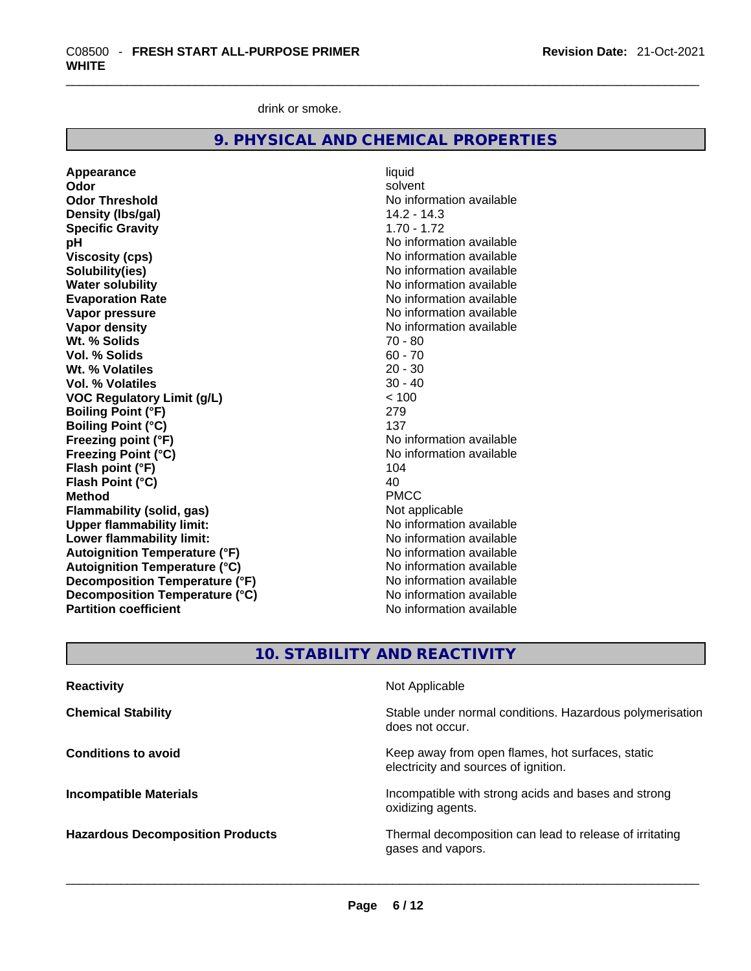drink or smoke.

|  |  |  | 9. PHYSICAL AND CHEMICAL PROPERTIES |  |
|--|--|--|-------------------------------------|--|
|--|--|--|-------------------------------------|--|

**Appearance** liquid **Odor** solvent **Odor Threshold** No information available **Density (lbs/gal)** 14.2 - 14.3 **Specific Gravity** 1.70 - 1.72 **pH bH 1 Viscosity (cps) Viscosity (cps) No information available Solubility(ies)** No information available **Water solubility**<br> **Evaporation Rate**<br> **Evaporation Rate**<br> **Evaporation Rate Vapor pressure**  No information available **No information** available **Vapor density**<br> **We Solids**<br>
We Solids
20 - 80 **Wt. % Solids** 70 - 80 **Vol. % Solids Wt. % Volatiles** 20 - 30 **Vol. % Volatiles VOC Regulatory Limit (g/L)** < 100 **Boiling Point (°F)** 279 **Boiling Point (°C) Freezing point (°F)** No information available **Freezing Point (°C)**<br> **Flash point (°F)**<br> **Flash point (°F)**<br> **Plash point (°F)**<br> **Plash point (°F) Flash point (°F) Flash Point (°C)** 40 **Method** PMCC **Flammability (solid, gas)** Not applicable **Upper flammability limit:** No information available **Lower flammability limit:**<br> **Autoignition Temperature (°F)** No information available<br>
No information available **Autoignition Temperature (°F) Autoignition Temperature (°C)**<br> **Decomposition Temperature (°F)** No information available **Decomposition Temperature (°F)** No information available<br> **Decomposition Temperature (°C)** No information available **Decomposition Temperature (°C) Partition coefficient** No information available

**Evaporation Rate** No information available

# **10. STABILITY AND REACTIVITY**

| <b>Reactivity</b>                       | Not Applicable                                                                           |
|-----------------------------------------|------------------------------------------------------------------------------------------|
| <b>Chemical Stability</b>               | Stable under normal conditions. Hazardous polymerisation<br>does not occur.              |
| <b>Conditions to avoid</b>              | Keep away from open flames, hot surfaces, static<br>electricity and sources of ignition. |
| <b>Incompatible Materials</b>           | Incompatible with strong acids and bases and strong<br>oxidizing agents.                 |
| <b>Hazardous Decomposition Products</b> | Thermal decomposition can lead to release of irritating<br>gases and vapors.             |
|                                         |                                                                                          |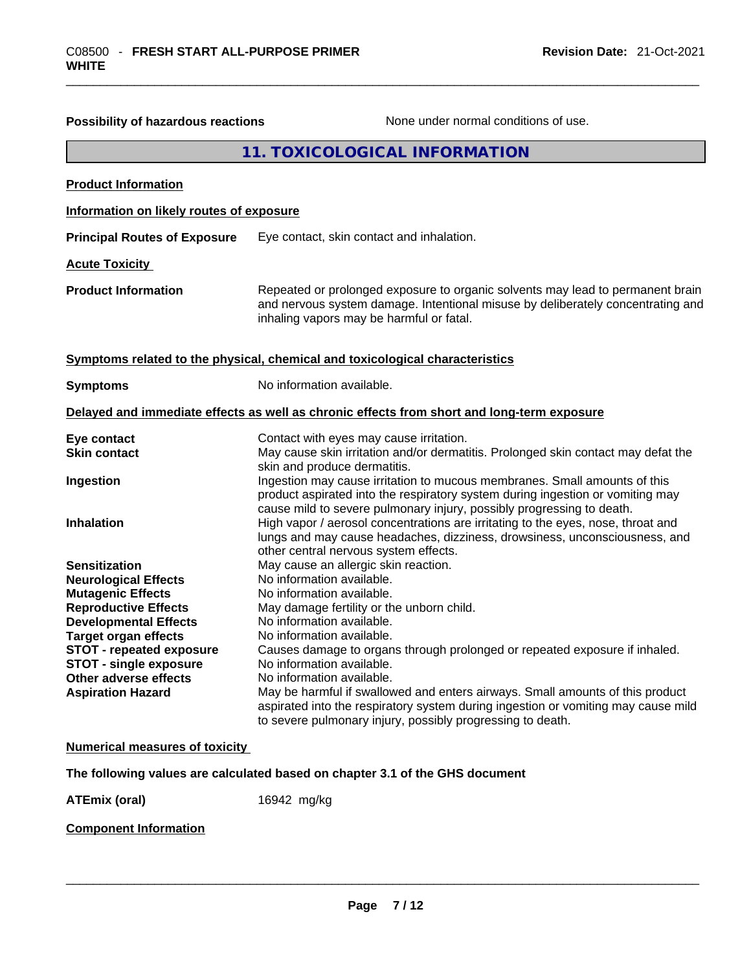| 11. TOXICOLOGICAL INFORMATION<br><b>Product Information</b><br>Information on likely routes of exposure<br><b>Principal Routes of Exposure</b><br>Eye contact, skin contact and inhalation.<br><b>Acute Toxicity</b><br><b>Product Information</b><br>inhaling vapors may be harmful or fatal.<br>Symptoms related to the physical, chemical and toxicological characteristics<br>No information available.<br><b>Symptoms</b><br>Delayed and immediate effects as well as chronic effects from short and long-term exposure<br>Eye contact<br>Contact with eyes may cause irritation.<br><b>Skin contact</b><br>skin and produce dermatitis.<br>Ingestion may cause irritation to mucous membranes. Small amounts of this<br>Ingestion<br>product aspirated into the respiratory system during ingestion or vomiting may<br>cause mild to severe pulmonary injury, possibly progressing to death.<br><b>Inhalation</b><br>High vapor / aerosol concentrations are irritating to the eyes, nose, throat and<br>other central nervous system effects.<br>May cause an allergic skin reaction.<br><b>Sensitization</b><br>No information available.<br><b>Neurological Effects</b><br>No information available.<br><b>Mutagenic Effects</b><br><b>Reproductive Effects</b><br>May damage fertility or the unborn child.<br>No information available.<br><b>Developmental Effects</b><br>No information available.<br><b>Target organ effects</b><br>Causes damage to organs through prolonged or repeated exposure if inhaled.<br><b>STOT - repeated exposure</b><br><b>STOT - single exposure</b><br>No information available.<br>No information available.<br>Other adverse effects<br><b>Aspiration Hazard</b><br>to severe pulmonary injury, possibly progressing to death.<br><b>Numerical measures of toxicity</b><br>The following values are calculated based on chapter 3.1 of the GHS document | Possibility of hazardous reactions | None under normal conditions of use.                                                                                                                               |  |
|--------------------------------------------------------------------------------------------------------------------------------------------------------------------------------------------------------------------------------------------------------------------------------------------------------------------------------------------------------------------------------------------------------------------------------------------------------------------------------------------------------------------------------------------------------------------------------------------------------------------------------------------------------------------------------------------------------------------------------------------------------------------------------------------------------------------------------------------------------------------------------------------------------------------------------------------------------------------------------------------------------------------------------------------------------------------------------------------------------------------------------------------------------------------------------------------------------------------------------------------------------------------------------------------------------------------------------------------------------------------------------------------------------------------------------------------------------------------------------------------------------------------------------------------------------------------------------------------------------------------------------------------------------------------------------------------------------------------------------------------------------------------------------------------------------------------------------------------------------------------------------------------------------|------------------------------------|--------------------------------------------------------------------------------------------------------------------------------------------------------------------|--|
|                                                                                                                                                                                                                                                                                                                                                                                                                                                                                                                                                                                                                                                                                                                                                                                                                                                                                                                                                                                                                                                                                                                                                                                                                                                                                                                                                                                                                                                                                                                                                                                                                                                                                                                                                                                                                                                                                                        |                                    |                                                                                                                                                                    |  |
|                                                                                                                                                                                                                                                                                                                                                                                                                                                                                                                                                                                                                                                                                                                                                                                                                                                                                                                                                                                                                                                                                                                                                                                                                                                                                                                                                                                                                                                                                                                                                                                                                                                                                                                                                                                                                                                                                                        |                                    |                                                                                                                                                                    |  |
|                                                                                                                                                                                                                                                                                                                                                                                                                                                                                                                                                                                                                                                                                                                                                                                                                                                                                                                                                                                                                                                                                                                                                                                                                                                                                                                                                                                                                                                                                                                                                                                                                                                                                                                                                                                                                                                                                                        |                                    |                                                                                                                                                                    |  |
|                                                                                                                                                                                                                                                                                                                                                                                                                                                                                                                                                                                                                                                                                                                                                                                                                                                                                                                                                                                                                                                                                                                                                                                                                                                                                                                                                                                                                                                                                                                                                                                                                                                                                                                                                                                                                                                                                                        |                                    |                                                                                                                                                                    |  |
|                                                                                                                                                                                                                                                                                                                                                                                                                                                                                                                                                                                                                                                                                                                                                                                                                                                                                                                                                                                                                                                                                                                                                                                                                                                                                                                                                                                                                                                                                                                                                                                                                                                                                                                                                                                                                                                                                                        |                                    |                                                                                                                                                                    |  |
|                                                                                                                                                                                                                                                                                                                                                                                                                                                                                                                                                                                                                                                                                                                                                                                                                                                                                                                                                                                                                                                                                                                                                                                                                                                                                                                                                                                                                                                                                                                                                                                                                                                                                                                                                                                                                                                                                                        |                                    | Repeated or prolonged exposure to organic solvents may lead to permanent brain<br>and nervous system damage. Intentional misuse by deliberately concentrating and  |  |
|                                                                                                                                                                                                                                                                                                                                                                                                                                                                                                                                                                                                                                                                                                                                                                                                                                                                                                                                                                                                                                                                                                                                                                                                                                                                                                                                                                                                                                                                                                                                                                                                                                                                                                                                                                                                                                                                                                        |                                    |                                                                                                                                                                    |  |
|                                                                                                                                                                                                                                                                                                                                                                                                                                                                                                                                                                                                                                                                                                                                                                                                                                                                                                                                                                                                                                                                                                                                                                                                                                                                                                                                                                                                                                                                                                                                                                                                                                                                                                                                                                                                                                                                                                        |                                    |                                                                                                                                                                    |  |
|                                                                                                                                                                                                                                                                                                                                                                                                                                                                                                                                                                                                                                                                                                                                                                                                                                                                                                                                                                                                                                                                                                                                                                                                                                                                                                                                                                                                                                                                                                                                                                                                                                                                                                                                                                                                                                                                                                        |                                    |                                                                                                                                                                    |  |
|                                                                                                                                                                                                                                                                                                                                                                                                                                                                                                                                                                                                                                                                                                                                                                                                                                                                                                                                                                                                                                                                                                                                                                                                                                                                                                                                                                                                                                                                                                                                                                                                                                                                                                                                                                                                                                                                                                        |                                    | May cause skin irritation and/or dermatitis. Prolonged skin contact may defat the                                                                                  |  |
|                                                                                                                                                                                                                                                                                                                                                                                                                                                                                                                                                                                                                                                                                                                                                                                                                                                                                                                                                                                                                                                                                                                                                                                                                                                                                                                                                                                                                                                                                                                                                                                                                                                                                                                                                                                                                                                                                                        |                                    |                                                                                                                                                                    |  |
|                                                                                                                                                                                                                                                                                                                                                                                                                                                                                                                                                                                                                                                                                                                                                                                                                                                                                                                                                                                                                                                                                                                                                                                                                                                                                                                                                                                                                                                                                                                                                                                                                                                                                                                                                                                                                                                                                                        |                                    | lungs and may cause headaches, dizziness, drowsiness, unconsciousness, and                                                                                         |  |
|                                                                                                                                                                                                                                                                                                                                                                                                                                                                                                                                                                                                                                                                                                                                                                                                                                                                                                                                                                                                                                                                                                                                                                                                                                                                                                                                                                                                                                                                                                                                                                                                                                                                                                                                                                                                                                                                                                        |                                    |                                                                                                                                                                    |  |
|                                                                                                                                                                                                                                                                                                                                                                                                                                                                                                                                                                                                                                                                                                                                                                                                                                                                                                                                                                                                                                                                                                                                                                                                                                                                                                                                                                                                                                                                                                                                                                                                                                                                                                                                                                                                                                                                                                        |                                    |                                                                                                                                                                    |  |
|                                                                                                                                                                                                                                                                                                                                                                                                                                                                                                                                                                                                                                                                                                                                                                                                                                                                                                                                                                                                                                                                                                                                                                                                                                                                                                                                                                                                                                                                                                                                                                                                                                                                                                                                                                                                                                                                                                        |                                    |                                                                                                                                                                    |  |
|                                                                                                                                                                                                                                                                                                                                                                                                                                                                                                                                                                                                                                                                                                                                                                                                                                                                                                                                                                                                                                                                                                                                                                                                                                                                                                                                                                                                                                                                                                                                                                                                                                                                                                                                                                                                                                                                                                        |                                    |                                                                                                                                                                    |  |
|                                                                                                                                                                                                                                                                                                                                                                                                                                                                                                                                                                                                                                                                                                                                                                                                                                                                                                                                                                                                                                                                                                                                                                                                                                                                                                                                                                                                                                                                                                                                                                                                                                                                                                                                                                                                                                                                                                        |                                    |                                                                                                                                                                    |  |
|                                                                                                                                                                                                                                                                                                                                                                                                                                                                                                                                                                                                                                                                                                                                                                                                                                                                                                                                                                                                                                                                                                                                                                                                                                                                                                                                                                                                                                                                                                                                                                                                                                                                                                                                                                                                                                                                                                        |                                    |                                                                                                                                                                    |  |
|                                                                                                                                                                                                                                                                                                                                                                                                                                                                                                                                                                                                                                                                                                                                                                                                                                                                                                                                                                                                                                                                                                                                                                                                                                                                                                                                                                                                                                                                                                                                                                                                                                                                                                                                                                                                                                                                                                        |                                    |                                                                                                                                                                    |  |
|                                                                                                                                                                                                                                                                                                                                                                                                                                                                                                                                                                                                                                                                                                                                                                                                                                                                                                                                                                                                                                                                                                                                                                                                                                                                                                                                                                                                                                                                                                                                                                                                                                                                                                                                                                                                                                                                                                        |                                    | May be harmful if swallowed and enters airways. Small amounts of this product<br>aspirated into the respiratory system during ingestion or vomiting may cause mild |  |
|                                                                                                                                                                                                                                                                                                                                                                                                                                                                                                                                                                                                                                                                                                                                                                                                                                                                                                                                                                                                                                                                                                                                                                                                                                                                                                                                                                                                                                                                                                                                                                                                                                                                                                                                                                                                                                                                                                        |                                    |                                                                                                                                                                    |  |
|                                                                                                                                                                                                                                                                                                                                                                                                                                                                                                                                                                                                                                                                                                                                                                                                                                                                                                                                                                                                                                                                                                                                                                                                                                                                                                                                                                                                                                                                                                                                                                                                                                                                                                                                                                                                                                                                                                        |                                    |                                                                                                                                                                    |  |
|                                                                                                                                                                                                                                                                                                                                                                                                                                                                                                                                                                                                                                                                                                                                                                                                                                                                                                                                                                                                                                                                                                                                                                                                                                                                                                                                                                                                                                                                                                                                                                                                                                                                                                                                                                                                                                                                                                        | <b>ATEmix (oral)</b>               | 16942 mg/kg                                                                                                                                                        |  |
| <b>Component Information</b>                                                                                                                                                                                                                                                                                                                                                                                                                                                                                                                                                                                                                                                                                                                                                                                                                                                                                                                                                                                                                                                                                                                                                                                                                                                                                                                                                                                                                                                                                                                                                                                                                                                                                                                                                                                                                                                                           |                                    |                                                                                                                                                                    |  |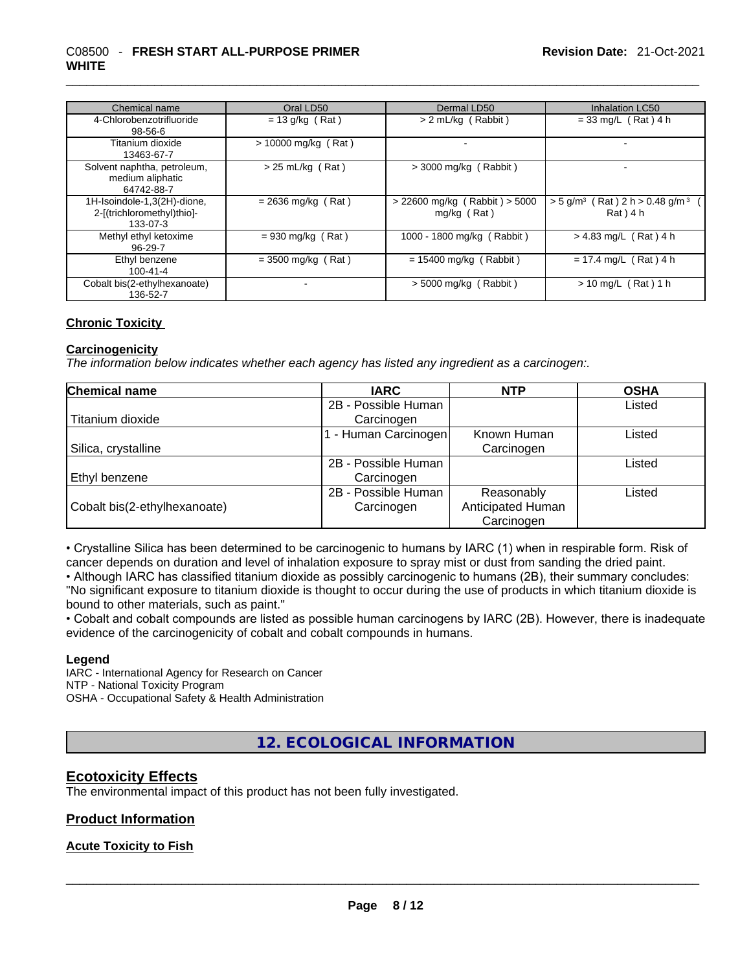#### \_\_\_\_\_\_\_\_\_\_\_\_\_\_\_\_\_\_\_\_\_\_\_\_\_\_\_\_\_\_\_\_\_\_\_\_\_\_\_\_\_\_\_\_\_\_\_\_\_\_\_\_\_\_\_\_\_\_\_\_\_\_\_\_\_\_\_\_\_\_\_\_\_\_\_\_\_\_\_\_\_\_\_\_\_\_\_\_\_\_\_\_\_ C08500 - **FRESH START ALL-PURPOSE PRIMER WHITE**

| Chemical name                                                         | Oral LD50             | Dermal LD50                                      | Inhalation LC50                                                          |
|-----------------------------------------------------------------------|-----------------------|--------------------------------------------------|--------------------------------------------------------------------------|
| 4-Chlorobenzotrifluoride<br>98-56-6                                   | $= 13$ g/kg (Rat)     | > 2 mL/kg (Rabbit)                               | $= 33$ mg/L (Rat) 4 h                                                    |
| Titanium dioxide<br>13463-67-7                                        | $> 10000$ mg/kg (Rat) |                                                  |                                                                          |
| Solvent naphtha, petroleum,<br>medium aliphatic<br>64742-88-7         | $> 25$ mL/kg (Rat)    | $>$ 3000 mg/kg (Rabbit)                          |                                                                          |
| 1H-Isoindole-1,3(2H)-dione,<br>2-[(trichloromethyl)thio]-<br>133-07-3 | $= 2636$ mg/kg (Rat)  | $> 22600$ mg/kg (Rabbit) $> 5000$<br>mg/kg (Rat) | $>$ 5 g/m <sup>3</sup> (Rat) 2 h $>$ 0.48 g/m <sup>3</sup><br>$Rat)$ 4 h |
| Methyl ethyl ketoxime<br>$96-29-7$                                    | $= 930$ mg/kg (Rat)   | 1000 - 1800 mg/kg (Rabbit)                       | $> 4.83$ mg/L (Rat) 4 h                                                  |
| Ethyl benzene<br>100-41-4                                             | $=$ 3500 mg/kg (Rat)  | $= 15400$ mg/kg (Rabbit)                         | $= 17.4$ mg/L (Rat) 4 h                                                  |
| Cobalt bis(2-ethylhexanoate)<br>136-52-7                              |                       | $> 5000$ mg/kg (Rabbit)                          | $> 10$ mg/L (Rat) 1 h                                                    |

#### **Chronic Toxicity**

#### **Carcinogenicity**

*The information below indicates whether each agency has listed any ingredient as a carcinogen:.* 

| <b>Chemical name</b>         | <b>IARC</b>          | <b>NTP</b>        | <b>OSHA</b> |
|------------------------------|----------------------|-------------------|-------------|
|                              | 2B - Possible Human  |                   | Listed      |
| Titanium dioxide             | Carcinogen           |                   |             |
|                              | 1 - Human Carcinogen | Known Human       | Listed      |
| Silica, crystalline          |                      | Carcinogen        |             |
|                              | 2B - Possible Human  |                   | Listed      |
| Ethyl benzene                | Carcinogen           |                   |             |
|                              | 2B - Possible Human  | Reasonably        | Listed      |
| Cobalt bis(2-ethylhexanoate) | Carcinogen           | Anticipated Human |             |
|                              |                      | Carcinogen        |             |

• Crystalline Silica has been determined to be carcinogenic to humans by IARC (1) when in respirable form. Risk of cancer depends on duration and level of inhalation exposure to spray mist or dust from sanding the dried paint.

• Although IARC has classified titanium dioxide as possibly carcinogenic to humans (2B), their summary concludes: "No significant exposure to titanium dioxide is thought to occur during the use of products in which titanium dioxide is bound to other materials, such as paint."

• Cobalt and cobalt compounds are listed as possible human carcinogens by IARC (2B). However, there is inadequate evidence of the carcinogenicity of cobalt and cobalt compounds in humans.

#### **Legend**

IARC - International Agency for Research on Cancer NTP - National Toxicity Program OSHA - Occupational Safety & Health Administration

**12. ECOLOGICAL INFORMATION** 

## **Ecotoxicity Effects**

The environmental impact of this product has not been fully investigated.

#### **Product Information**

## **Acute Toxicity to Fish**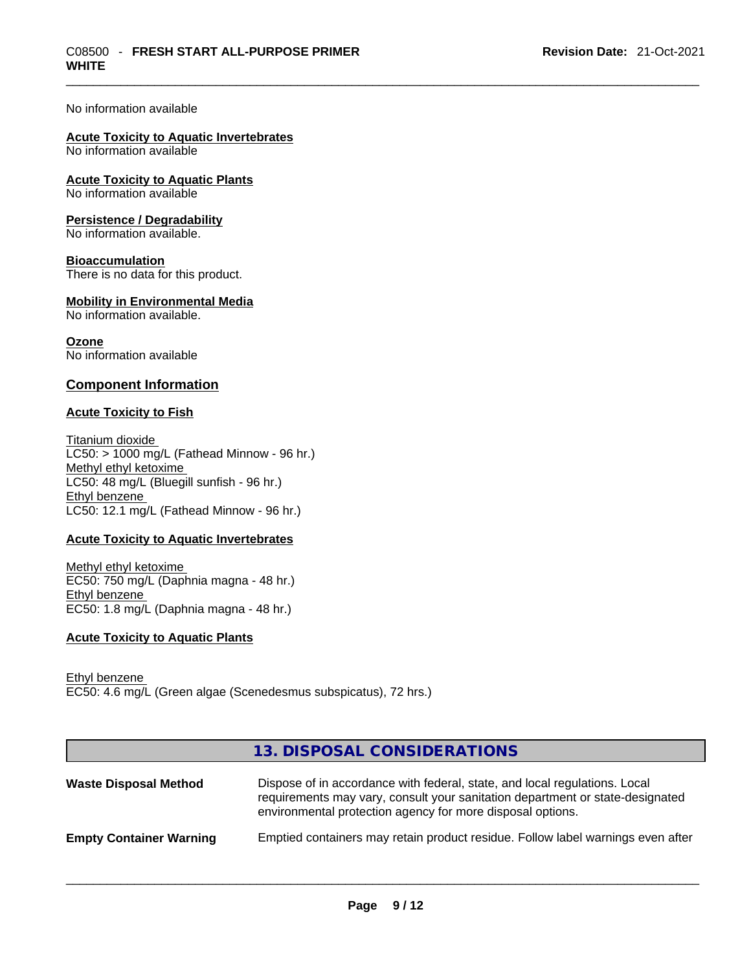#### No information available

#### **Acute Toxicity to Aquatic Invertebrates**

No information available

# **Acute Toxicity to Aquatic Plants**

No information available

#### **Persistence / Degradability**

No information available.

#### **Bioaccumulation**

There is no data for this product.

#### **Mobility in Environmental Media**

No information available.

# **Ozone**

No information available

## **Component Information**

## **Acute Toxicity to Fish**

Titanium dioxide  $LCS0: > 1000$  mg/L (Fathead Minnow - 96 hr.) Methyl ethyl ketoxime LC50: 48 mg/L (Bluegill sunfish - 96 hr.) Ethyl benzene LC50: 12.1 mg/L (Fathead Minnow - 96 hr.)

## **Acute Toxicity to Aquatic Invertebrates**

Methyl ethyl ketoxime EC50: 750 mg/L (Daphnia magna - 48 hr.) Ethyl benzene EC50: 1.8 mg/L (Daphnia magna - 48 hr.)

#### **Acute Toxicity to Aquatic Plants**

Ethyl benzene EC50: 4.6 mg/L (Green algae (Scenedesmus subspicatus), 72 hrs.)

|                                | 13. DISPOSAL CONSIDERATIONS                                                                                                                                                                                               |
|--------------------------------|---------------------------------------------------------------------------------------------------------------------------------------------------------------------------------------------------------------------------|
| <b>Waste Disposal Method</b>   | Dispose of in accordance with federal, state, and local regulations. Local<br>requirements may vary, consult your sanitation department or state-designated<br>environmental protection agency for more disposal options. |
| <b>Empty Container Warning</b> | Emptied containers may retain product residue. Follow label warnings even after                                                                                                                                           |
|                                |                                                                                                                                                                                                                           |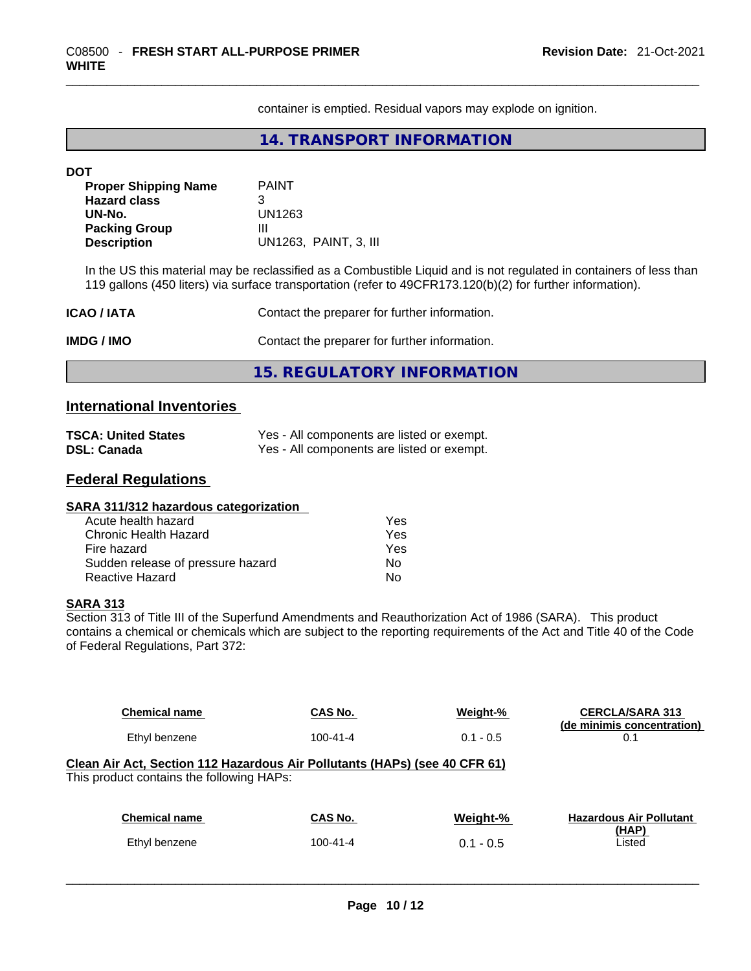container is emptied. Residual vapors may explode on ignition.

**14. TRANSPORT INFORMATION** 

| <b>DOT</b>                  |                                                                                                                                                             |
|-----------------------------|-------------------------------------------------------------------------------------------------------------------------------------------------------------|
| <b>Proper Shipping Name</b> | <b>PAINT</b>                                                                                                                                                |
| <b>Hazard class</b>         | 3                                                                                                                                                           |
| UN-No.                      | UN1263                                                                                                                                                      |
| <b>Packing Group</b>        | Ш                                                                                                                                                           |
| <b>Description</b>          | UN1263, PAINT, 3, III                                                                                                                                       |
| ICAO / IATA                 | 119 gallons (450 liters) via surface transportation (refer to 49CFR173.120(b)(2) for further information).<br>Contact the preparer for further information. |
|                             |                                                                                                                                                             |
| IMDG / IMO                  | Contact the preparer for further information.                                                                                                               |
|                             | <b>15. REGULATORY INFORMATION</b>                                                                                                                           |
|                             |                                                                                                                                                             |

# **International Inventories**

| <b>TSCA: United States</b> | Yes - All components are listed or exempt. |
|----------------------------|--------------------------------------------|
| <b>DSL: Canada</b>         | Yes - All components are listed or exempt. |

# **Federal Regulations**

#### **SARA 311/312 hazardous categorization**  Acute health hazard Yes

| Chronic Health Hazard             | Yes |  |
|-----------------------------------|-----|--|
| Fire hazard                       | Yes |  |
| Sudden release of pressure hazard | Nο  |  |
| Reactive Hazard                   | Nο  |  |

## **SARA 313**

Section 313 of Title III of the Superfund Amendments and Reauthorization Act of 1986 (SARA). This product contains a chemical or chemicals which are subject to the reporting requirements of the Act and Title 40 of the Code of Federal Regulations, Part 372:

| <b>Chemical name</b>                                                                                                    | CAS No.        | Weight-%    | <b>CERCLA/SARA 313</b><br>(de minimis concentration) |
|-------------------------------------------------------------------------------------------------------------------------|----------------|-------------|------------------------------------------------------|
| Ethyl benzene                                                                                                           | $100 - 41 - 4$ | $0.1 - 0.5$ | 0.1                                                  |
| Clean Air Act, Section 112 Hazardous Air Pollutants (HAPs) (see 40 CFR 61)<br>This product contains the following HAPs: |                |             |                                                      |
| <b>Chemical name</b>                                                                                                    | CAS No.        | Weight-%    | <b>Hazardous Air Pollutant</b>                       |
| Ethyl benzene                                                                                                           | $100 - 41 - 4$ | $0.1 - 0.5$ | (HAP)<br>Listed                                      |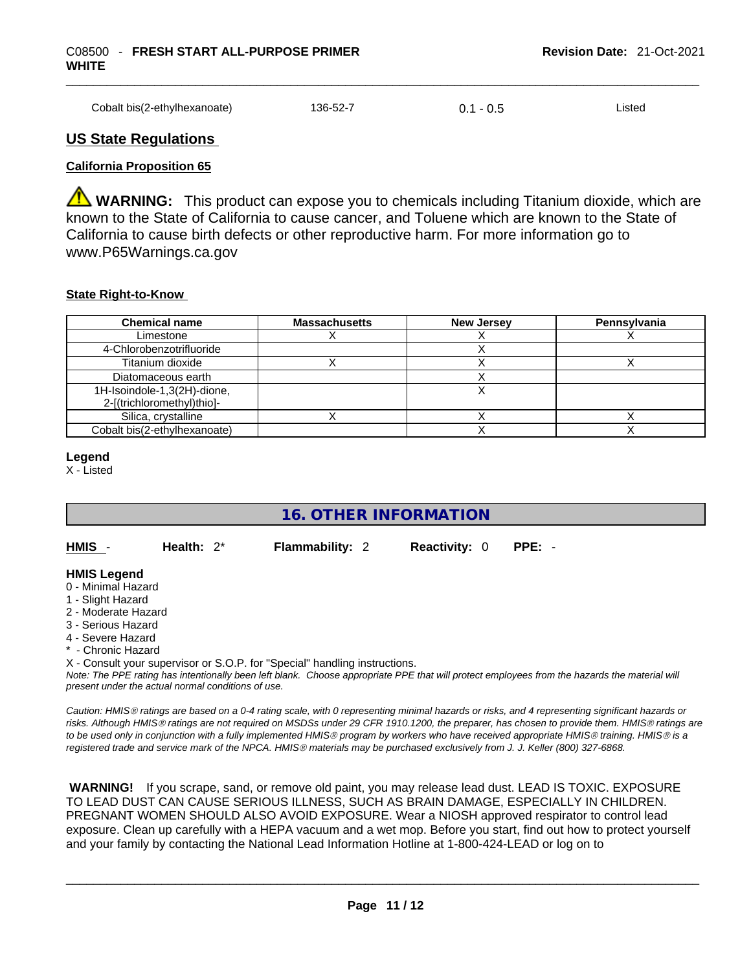| Cobalt bis(2-ethylhexanoate) | 136-52-7 | $0.1 - 0.5$ | ∟ıstec |
|------------------------------|----------|-------------|--------|
|                              |          |             |        |

## **US State Regulations**

#### **California Proposition 65**

**A WARNING:** This product can expose you to chemicals including Titanium dioxide, which are known to the State of California to cause cancer, and Toluene which are known to the State of California to cause birth defects or other reproductive harm. For more information go to www.P65Warnings.ca.gov

#### **State Right-to-Know**

| <b>Chemical name</b>                                      | <b>Massachusetts</b> | <b>New Jersey</b> | Pennsylvania |
|-----------------------------------------------------------|----------------------|-------------------|--------------|
| Limestone                                                 |                      |                   |              |
| 4-Chlorobenzotrifluoride                                  |                      |                   |              |
| Titanium dioxide                                          |                      |                   |              |
| Diatomaceous earth                                        |                      |                   |              |
| 1H-Isoindole-1,3(2H)-dione,<br>2-[(trichloromethyl)thio]- |                      |                   |              |
| Silica, crystalline                                       |                      |                   |              |
| Cobalt bis(2-ethylhexanoate)                              |                      |                   |              |

#### **Legend**

X - Listed

# **16. OTHER INFORMATION**

**HMIS** - **Health:** 2\* **Flammability:** 2 **Reactivity:** 0 **PPE:** -

#### **HMIS Legend**

- 0 Minimal Hazard
- 1 Slight Hazard
- 2 Moderate Hazard
- 3 Serious Hazard
- 4 Severe Hazard
- \* Chronic Hazard

X - Consult your supervisor or S.O.P. for "Special" handling instructions.

Note: The PPE rating has intentionally been left blank. Choose appropriate PPE that will protect employees from the hazards the material will *present under the actual normal conditions of use.* 

*Caution: HMISÒ ratings are based on a 0-4 rating scale, with 0 representing minimal hazards or risks, and 4 representing significant hazards or risks. Although HMISÒ ratings are not required on MSDSs under 29 CFR 1910.1200, the preparer, has chosen to provide them. HMISÒ ratings are to be used only in conjunction with a fully implemented HMISÒ program by workers who have received appropriate HMISÒ training. HMISÒ is a registered trade and service mark of the NPCA. HMISÒ materials may be purchased exclusively from J. J. Keller (800) 327-6868.* 

 **WARNING!** If you scrape, sand, or remove old paint, you may release lead dust. LEAD IS TOXIC. EXPOSURE TO LEAD DUST CAN CAUSE SERIOUS ILLNESS, SUCH AS BRAIN DAMAGE, ESPECIALLY IN CHILDREN. PREGNANT WOMEN SHOULD ALSO AVOID EXPOSURE. Wear a NIOSH approved respirator to control lead exposure. Clean up carefully with a HEPA vacuum and a wet mop. Before you start, find out how to protect yourself and your family by contacting the National Lead Information Hotline at 1-800-424-LEAD or log on to